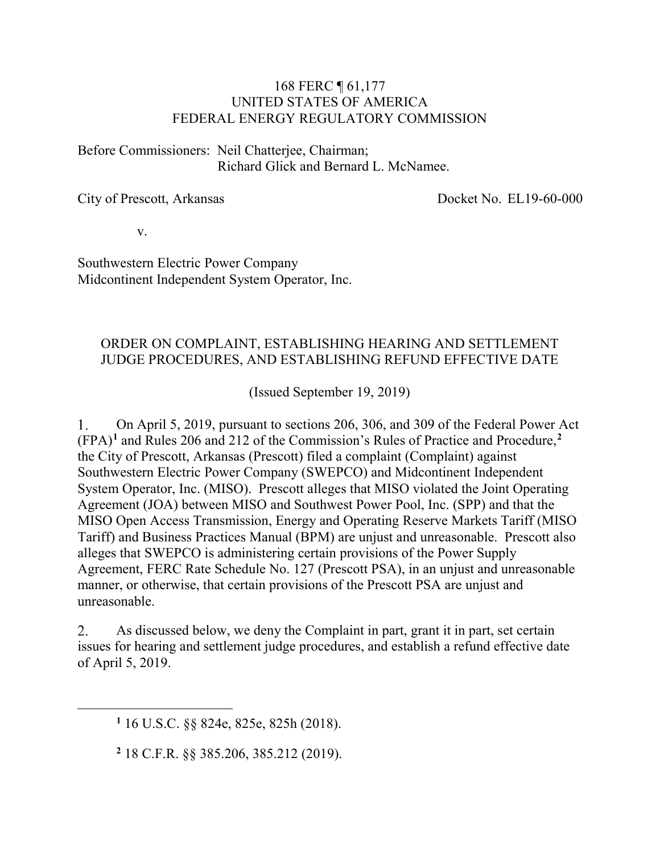#### 168 FERC ¶ 61,177 UNITED STATES OF AMERICA FEDERAL ENERGY REGULATORY COMMISSION

Before Commissioners: Neil Chatterjee, Chairman; Richard Glick and Bernard L. McNamee.

City of Prescott, Arkansas

Docket No. EL19-60-000

v.

Southwestern Electric Power Company Midcontinent Independent System Operator, Inc.

#### ORDER ON COMPLAINT, ESTABLISHING HEARING AND SETTLEMENT JUDGE PROCEDURES, AND ESTABLISHING REFUND EFFECTIVE DATE

(Issued September 19, 2019)

On April 5, 2019, pursuant to sections 206, 306, and 309 of the Federal Power Act 1. (FPA)**[1](#page-0-0)** and Rules 206 and 212 of the Commission's Rules of Practice and Procedure,**[2](#page-0-1)** the City of Prescott, Arkansas (Prescott) filed a complaint (Complaint) against Southwestern Electric Power Company (SWEPCO) and Midcontinent Independent System Operator, Inc. (MISO). Prescott alleges that MISO violated the Joint Operating Agreement (JOA) between MISO and Southwest Power Pool, Inc. (SPP) and that the MISO Open Access Transmission, Energy and Operating Reserve Markets Tariff (MISO Tariff) and Business Practices Manual (BPM) are unjust and unreasonable. Prescott also alleges that SWEPCO is administering certain provisions of the Power Supply Agreement, FERC Rate Schedule No. 127 (Prescott PSA), in an unjust and unreasonable manner, or otherwise, that certain provisions of the Prescott PSA are unjust and unreasonable.

2. As discussed below, we deny the Complaint in part, grant it in part, set certain issues for hearing and settlement judge procedures, and establish a refund effective date of April 5, 2019.

<span id="page-0-1"></span><span id="page-0-0"></span> $\overline{a}$ 

**<sup>2</sup>** 18 C.F.R. §§ 385.206, 385.212 (2019).

**<sup>1</sup>** 16 U.S.C. §§ 824e, 825e, 825h (2018).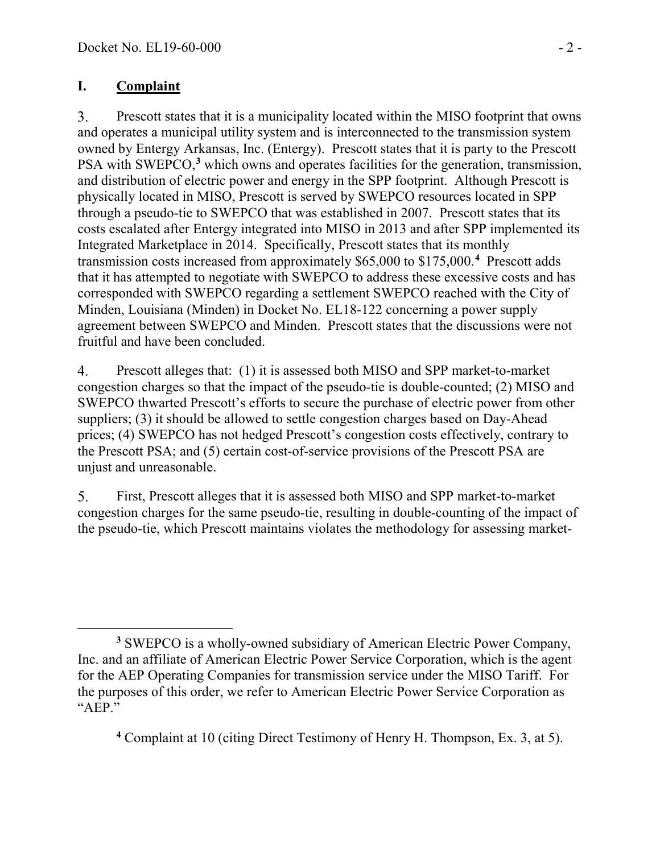## **I. Complaint**

Prescott states that it is a municipality located within the MISO footprint that owns 3. and operates a municipal utility system and is interconnected to the transmission system owned by Entergy Arkansas, Inc. (Entergy). Prescott states that it is party to the Prescott PSA with SWEPCO,**[3](#page-1-0)** which owns and operates facilities for the generation, transmission, and distribution of electric power and energy in the SPP footprint. Although Prescott is physically located in MISO, Prescott is served by SWEPCO resources located in SPP through a pseudo-tie to SWEPCO that was established in 2007. Prescott states that its costs escalated after Entergy integrated into MISO in 2013 and after SPP implemented its Integrated Marketplace in 2014. Specifically, Prescott states that its monthly transmission costs increased from approximately \$65,000 to \$175,000.<sup>[4](#page-1-1)</sup> Prescott adds that it has attempted to negotiate with SWEPCO to address these excessive costs and has corresponded with SWEPCO regarding a settlement SWEPCO reached with the City of Minden, Louisiana (Minden) in Docket No. EL18-122 concerning a power supply agreement between SWEPCO and Minden. Prescott states that the discussions were not fruitful and have been concluded.

Prescott alleges that: (1) it is assessed both MISO and SPP market-to-market 4. congestion charges so that the impact of the pseudo-tie is double-counted; (2) MISO and SWEPCO thwarted Prescott's efforts to secure the purchase of electric power from other suppliers; (3) it should be allowed to settle congestion charges based on Day-Ahead prices; (4) SWEPCO has not hedged Prescott's congestion costs effectively, contrary to the Prescott PSA; and (5) certain cost-of-service provisions of the Prescott PSA are unjust and unreasonable.

5. First, Prescott alleges that it is assessed both MISO and SPP market-to-market congestion charges for the same pseudo-tie, resulting in double-counting of the impact of the pseudo-tie, which Prescott maintains violates the methodology for assessing market-

<span id="page-1-1"></span>**<sup>4</sup>** Complaint at 10 (citing Direct Testimony of Henry H. Thompson, Ex. 3, at 5).

<span id="page-1-0"></span> $\overline{a}$ **<sup>3</sup>** SWEPCO is a wholly-owned subsidiary of American Electric Power Company, Inc. and an affiliate of American Electric Power Service Corporation, which is the agent for the AEP Operating Companies for transmission service under the MISO Tariff. For the purposes of this order, we refer to American Electric Power Service Corporation as "AEP."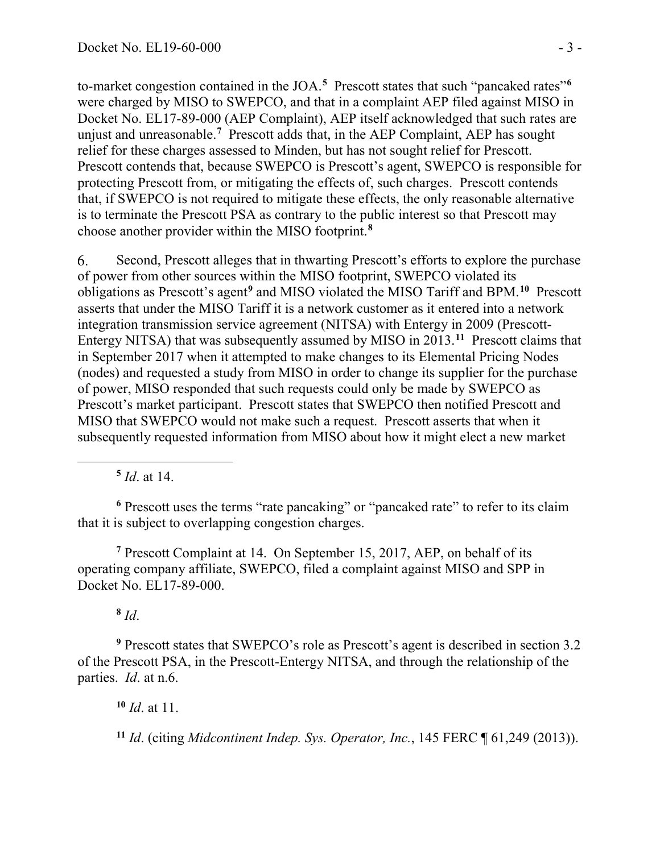to-market congestion contained in the JOA. **[5](#page-2-0)** Prescott states that such "pancaked rates"**[6](#page-2-1)** were charged by MISO to SWEPCO, and that in a complaint AEP filed against MISO in Docket No. EL17-89-000 (AEP Complaint), AEP itself acknowledged that such rates are unjust and unreasonable.<sup>[7](#page-2-2)</sup> Prescott adds that, in the AEP Complaint, AEP has sought relief for these charges assessed to Minden, but has not sought relief for Prescott. Prescott contends that, because SWEPCO is Prescott's agent, SWEPCO is responsible for protecting Prescott from, or mitigating the effects of, such charges. Prescott contends that, if SWEPCO is not required to mitigate these effects, the only reasonable alternative is to terminate the Prescott PSA as contrary to the public interest so that Prescott may choose another provider within the MISO footprint.**[8](#page-2-3)**

6. Second, Prescott alleges that in thwarting Prescott's efforts to explore the purchase of power from other sources within the MISO footprint, SWEPCO violated its obligations as Prescott's agent**[9](#page-2-4)** and MISO violated the MISO Tariff and BPM. **[10](#page-2-5)** Prescott asserts that under the MISO Tariff it is a network customer as it entered into a network integration transmission service agreement (NITSA) with Entergy in 2009 (Prescott-Entergy NITSA) that was subsequently assumed by MISO in 2013.**[11](#page-2-6)** Prescott claims that in September 2017 when it attempted to make changes to its Elemental Pricing Nodes (nodes) and requested a study from MISO in order to change its supplier for the purchase of power, MISO responded that such requests could only be made by SWEPCO as Prescott's market participant. Prescott states that SWEPCO then notified Prescott and MISO that SWEPCO would not make such a request. Prescott asserts that when it subsequently requested information from MISO about how it might elect a new market

**<sup>5</sup>** *Id*. at 14.

<span id="page-2-0"></span>

<span id="page-2-1"></span>**<sup>6</sup>** Prescott uses the terms "rate pancaking" or "pancaked rate" to refer to its claim that it is subject to overlapping congestion charges.

<span id="page-2-2"></span>**<sup>7</sup>** Prescott Complaint at 14. On September 15, 2017, AEP, on behalf of its operating company affiliate, SWEPCO, filed a complaint against MISO and SPP in Docket No. EL17-89-000.

**<sup>8</sup>** *Id*.

<span id="page-2-5"></span><span id="page-2-4"></span><span id="page-2-3"></span>**<sup>9</sup>** Prescott states that SWEPCO's role as Prescott's agent is described in section 3.2 of the Prescott PSA, in the Prescott-Entergy NITSA, and through the relationship of the parties. *Id*. at n.6.

**<sup>10</sup>** *Id*. at 11.

<span id="page-2-6"></span>**<sup>11</sup>** *Id*. (citing *Midcontinent Indep. Sys. Operator, Inc.*, 145 FERC ¶ 61,249 (2013)).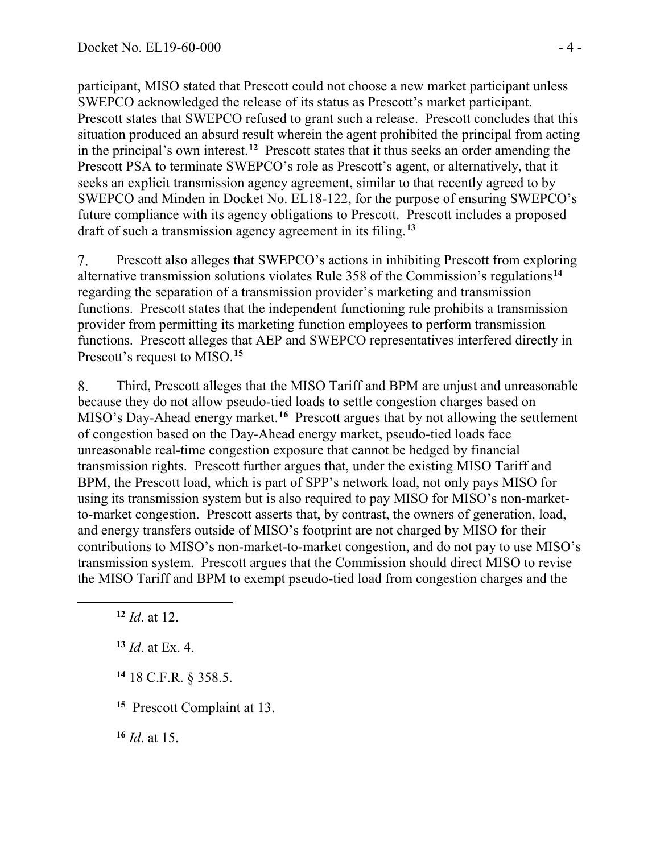participant, MISO stated that Prescott could not choose a new market participant unless SWEPCO acknowledged the release of its status as Prescott's market participant. Prescott states that SWEPCO refused to grant such a release. Prescott concludes that this situation produced an absurd result wherein the agent prohibited the principal from acting in the principal's own interest.**[12](#page-3-0)** Prescott states that it thus seeks an order amending the Prescott PSA to terminate SWEPCO's role as Prescott's agent, or alternatively, that it seeks an explicit transmission agency agreement, similar to that recently agreed to by SWEPCO and Minden in Docket No. EL18-122, for the purpose of ensuring SWEPCO's future compliance with its agency obligations to Prescott. Prescott includes a proposed draft of such a transmission agency agreement in its filing.**[13](#page-3-1)**

7. Prescott also alleges that SWEPCO's actions in inhibiting Prescott from exploring alternative transmission solutions violates Rule 358 of the Commission's regulations**[14](#page-3-2)** regarding the separation of a transmission provider's marketing and transmission functions. Prescott states that the independent functioning rule prohibits a transmission provider from permitting its marketing function employees to perform transmission functions. Prescott alleges that AEP and SWEPCO representatives interfered directly in Prescott's request to MISO.**[15](#page-3-3)**

Third, Prescott alleges that the MISO Tariff and BPM are unjust and unreasonable 8. because they do not allow pseudo-tied loads to settle congestion charges based on MISO's Day-Ahead energy market.**[16](#page-3-4)** Prescott argues that by not allowing the settlement of congestion based on the Day-Ahead energy market, pseudo-tied loads face unreasonable real-time congestion exposure that cannot be hedged by financial transmission rights. Prescott further argues that, under the existing MISO Tariff and BPM, the Prescott load, which is part of SPP's network load, not only pays MISO for using its transmission system but is also required to pay MISO for MISO's non-marketto-market congestion. Prescott asserts that, by contrast, the owners of generation, load, and energy transfers outside of MISO's footprint are not charged by MISO for their contributions to MISO's non-market-to-market congestion, and do not pay to use MISO's transmission system. Prescott argues that the Commission should direct MISO to revise the MISO Tariff and BPM to exempt pseudo-tied load from congestion charges and the

<span id="page-3-2"></span><span id="page-3-1"></span><span id="page-3-0"></span> $\overline{a}$ 

**<sup>13</sup>** *Id*. at Ex. 4.

**<sup>14</sup>** 18 C.F.R. § 358.5.

<span id="page-3-3"></span>**<sup>15</sup>** Prescott Complaint at 13.

<span id="page-3-4"></span>**<sup>16</sup>** *Id*. at 15.

**<sup>12</sup>** *Id*. at 12.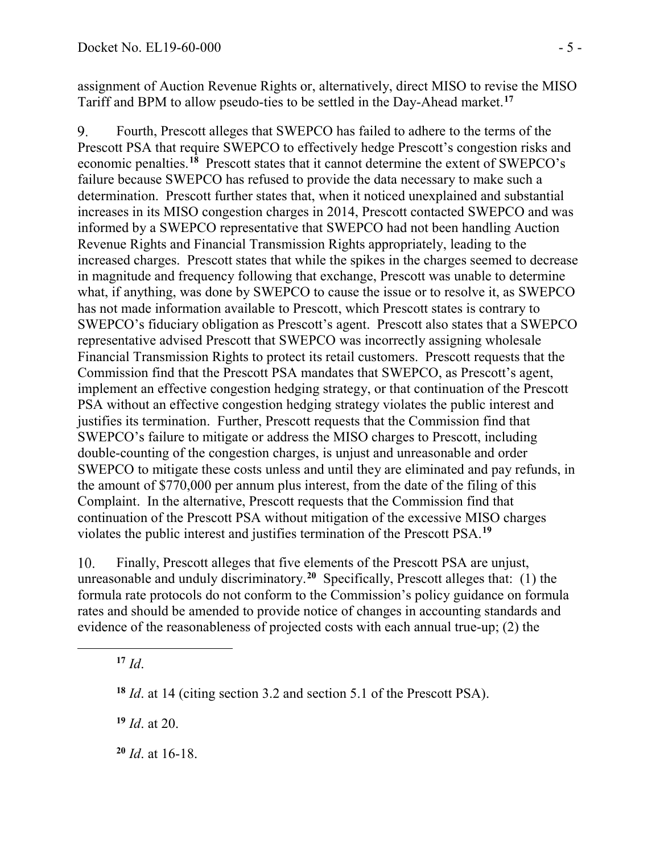assignment of Auction Revenue Rights or, alternatively, direct MISO to revise the MISO Tariff and BPM to allow pseudo-ties to be settled in the Day-Ahead market.**[17](#page-4-0)**

9. Fourth, Prescott alleges that SWEPCO has failed to adhere to the terms of the Prescott PSA that require SWEPCO to effectively hedge Prescott's congestion risks and economic penalties.**[18](#page-4-1)** Prescott states that it cannot determine the extent of SWEPCO's failure because SWEPCO has refused to provide the data necessary to make such a determination. Prescott further states that, when it noticed unexplained and substantial increases in its MISO congestion charges in 2014, Prescott contacted SWEPCO and was informed by a SWEPCO representative that SWEPCO had not been handling Auction Revenue Rights and Financial Transmission Rights appropriately, leading to the increased charges. Prescott states that while the spikes in the charges seemed to decrease in magnitude and frequency following that exchange, Prescott was unable to determine what, if anything, was done by SWEPCO to cause the issue or to resolve it, as SWEPCO has not made information available to Prescott, which Prescott states is contrary to SWEPCO's fiduciary obligation as Prescott's agent. Prescott also states that a SWEPCO representative advised Prescott that SWEPCO was incorrectly assigning wholesale Financial Transmission Rights to protect its retail customers. Prescott requests that the Commission find that the Prescott PSA mandates that SWEPCO, as Prescott's agent, implement an effective congestion hedging strategy, or that continuation of the Prescott PSA without an effective congestion hedging strategy violates the public interest and justifies its termination. Further, Prescott requests that the Commission find that SWEPCO's failure to mitigate or address the MISO charges to Prescott, including double-counting of the congestion charges, is unjust and unreasonable and order SWEPCO to mitigate these costs unless and until they are eliminated and pay refunds, in the amount of \$770,000 per annum plus interest, from the date of the filing of this Complaint. In the alternative, Prescott requests that the Commission find that continuation of the Prescott PSA without mitigation of the excessive MISO charges violates the public interest and justifies termination of the Prescott PSA. **[19](#page-4-2)**

10. Finally, Prescott alleges that five elements of the Prescott PSA are unjust, unreasonable and unduly discriminatory. **[20](#page-4-3)** Specifically, Prescott alleges that: (1) the formula rate protocols do not conform to the Commission's policy guidance on formula rates and should be amended to provide notice of changes in accounting standards and evidence of the reasonableness of projected costs with each annual true-up; (2) the

 $17$  *Id.* 

<span id="page-4-2"></span><span id="page-4-1"></span><span id="page-4-0"></span> $\overline{a}$ 

**<sup>19</sup>** *Id*. at 20.

<span id="page-4-3"></span>**<sup>20</sup>** *Id*. at 16-18.

**<sup>18</sup>** *Id*. at 14 (citing section 3.2 and section 5.1 of the Prescott PSA).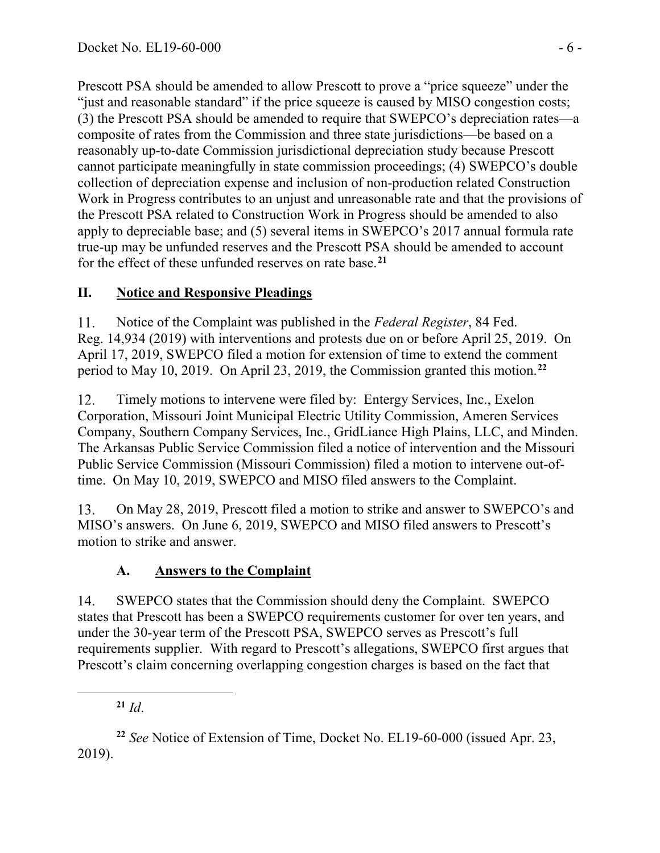Prescott PSA should be amended to allow Prescott to prove a "price squeeze" under the "just and reasonable standard" if the price squeeze is caused by MISO congestion costs; (3) the Prescott PSA should be amended to require that SWEPCO's depreciation rates—a composite of rates from the Commission and three state jurisdictions—be based on a reasonably up-to-date Commission jurisdictional depreciation study because Prescott cannot participate meaningfully in state commission proceedings; (4) SWEPCO's double collection of depreciation expense and inclusion of non-production related Construction Work in Progress contributes to an unjust and unreasonable rate and that the provisions of the Prescott PSA related to Construction Work in Progress should be amended to also apply to depreciable base; and (5) several items in SWEPCO's 2017 annual formula rate true-up may be unfunded reserves and the Prescott PSA should be amended to account for the effect of these unfunded reserves on rate base.**[21](#page-5-0)**

# **II. Notice and Responsive Pleadings**

11. Notice of the Complaint was published in the *Federal Register*, 84 Fed. Reg. 14,934 (2019) with interventions and protests due on or before April 25, 2019. On April 17, 2019, SWEPCO filed a motion for extension of time to extend the comment period to May 10, 2019. On April 23, 2019, the Commission granted this motion. **[22](#page-5-1)**

12. Timely motions to intervene were filed by: Entergy Services, Inc., Exelon Corporation, Missouri Joint Municipal Electric Utility Commission, Ameren Services Company, Southern Company Services, Inc., GridLiance High Plains, LLC, and Minden. The Arkansas Public Service Commission filed a notice of intervention and the Missouri Public Service Commission (Missouri Commission) filed a motion to intervene out-oftime. On May 10, 2019, SWEPCO and MISO filed answers to the Complaint.

On May 28, 2019, Prescott filed a motion to strike and answer to SWEPCO's and 13. MISO's answers. On June 6, 2019, SWEPCO and MISO filed answers to Prescott's motion to strike and answer.

## **A. Answers to the Complaint**

14. SWEPCO states that the Commission should deny the Complaint. SWEPCO states that Prescott has been a SWEPCO requirements customer for over ten years, and under the 30-year term of the Prescott PSA, SWEPCO serves as Prescott's full requirements supplier. With regard to Prescott's allegations, SWEPCO first argues that Prescott's claim concerning overlapping congestion charges is based on the fact that

<span id="page-5-0"></span> $\overline{a}$ 

**<sup>21</sup>** *Id*.

<span id="page-5-1"></span>**<sup>22</sup>** *See* Notice of Extension of Time, Docket No. EL19-60-000 (issued Apr. 23, 2019).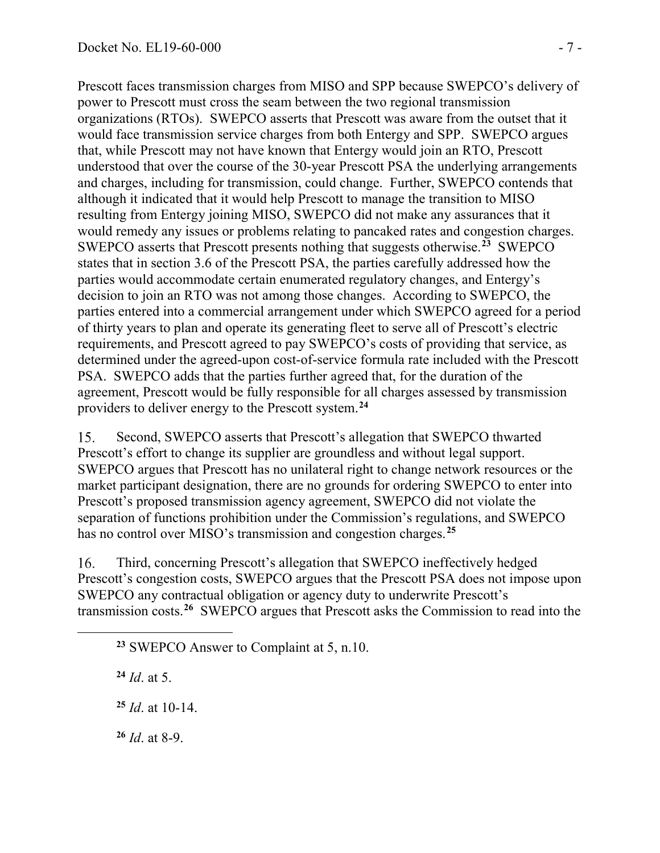Prescott faces transmission charges from MISO and SPP because SWEPCO's delivery of power to Prescott must cross the seam between the two regional transmission organizations (RTOs). SWEPCO asserts that Prescott was aware from the outset that it would face transmission service charges from both Entergy and SPP. SWEPCO argues that, while Prescott may not have known that Entergy would join an RTO, Prescott understood that over the course of the 30-year Prescott PSA the underlying arrangements and charges, including for transmission, could change. Further, SWEPCO contends that although it indicated that it would help Prescott to manage the transition to MISO resulting from Entergy joining MISO, SWEPCO did not make any assurances that it would remedy any issues or problems relating to pancaked rates and congestion charges. SWEPCO asserts that Prescott presents nothing that suggests otherwise.**[23](#page-6-0)** SWEPCO states that in section 3.6 of the Prescott PSA, the parties carefully addressed how the parties would accommodate certain enumerated regulatory changes, and Entergy's decision to join an RTO was not among those changes. According to SWEPCO, the parties entered into a commercial arrangement under which SWEPCO agreed for a period of thirty years to plan and operate its generating fleet to serve all of Prescott's electric requirements, and Prescott agreed to pay SWEPCO's costs of providing that service, as determined under the agreed-upon cost-of-service formula rate included with the Prescott PSA. SWEPCO adds that the parties further agreed that, for the duration of the agreement, Prescott would be fully responsible for all charges assessed by transmission providers to deliver energy to the Prescott system.**[24](#page-6-1)**

15. Second, SWEPCO asserts that Prescott's allegation that SWEPCO thwarted Prescott's effort to change its supplier are groundless and without legal support. SWEPCO argues that Prescott has no unilateral right to change network resources or the market participant designation, there are no grounds for ordering SWEPCO to enter into Prescott's proposed transmission agency agreement, SWEPCO did not violate the separation of functions prohibition under the Commission's regulations, and SWEPCO has no control over MISO's transmission and congestion charges.**[25](#page-6-2)**

16. Third, concerning Prescott's allegation that SWEPCO ineffectively hedged Prescott's congestion costs, SWEPCO argues that the Prescott PSA does not impose upon SWEPCO any contractual obligation or agency duty to underwrite Prescott's transmission costs.**[26](#page-6-3)** SWEPCO argues that Prescott asks the Commission to read into the

**<sup>23</sup>** SWEPCO Answer to Complaint at 5, n.10.

**<sup>24</sup>** *Id*. at 5.

<span id="page-6-2"></span><span id="page-6-1"></span><span id="page-6-0"></span> $\overline{a}$ 

**<sup>25</sup>** *Id*. at 10-14.

<span id="page-6-3"></span>**<sup>26</sup>** *Id*. at 8-9.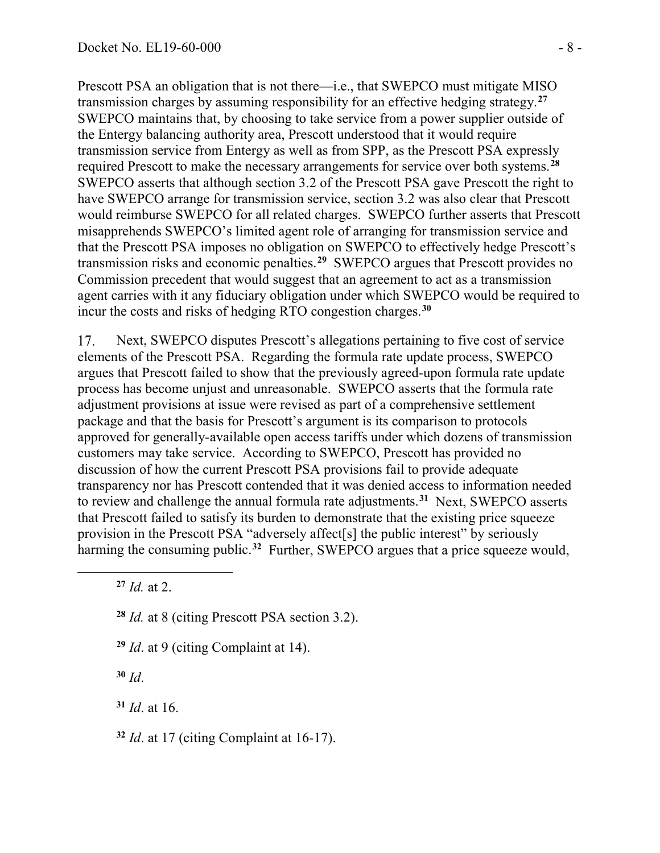Prescott PSA an obligation that is not there—i.e., that SWEPCO must mitigate MISO transmission charges by assuming responsibility for an effective hedging strategy.**[27](#page-7-0)** SWEPCO maintains that, by choosing to take service from a power supplier outside of the Entergy balancing authority area, Prescott understood that it would require transmission service from Entergy as well as from SPP, as the Prescott PSA expressly required Prescott to make the necessary arrangements for service over both systems.**[28](#page-7-1)** SWEPCO asserts that although section 3.2 of the Prescott PSA gave Prescott the right to have SWEPCO arrange for transmission service, section 3.2 was also clear that Prescott would reimburse SWEPCO for all related charges. SWEPCO further asserts that Prescott misapprehends SWEPCO's limited agent role of arranging for transmission service and that the Prescott PSA imposes no obligation on SWEPCO to effectively hedge Prescott's transmission risks and economic penalties.**[29](#page-7-2)** SWEPCO argues that Prescott provides no Commission precedent that would suggest that an agreement to act as a transmission agent carries with it any fiduciary obligation under which SWEPCO would be required to incur the costs and risks of hedging RTO congestion charges.**[30](#page-7-3)**

17. Next, SWEPCO disputes Prescott's allegations pertaining to five cost of service elements of the Prescott PSA. Regarding the formula rate update process, SWEPCO argues that Prescott failed to show that the previously agreed-upon formula rate update process has become unjust and unreasonable. SWEPCO asserts that the formula rate adjustment provisions at issue were revised as part of a comprehensive settlement package and that the basis for Prescott's argument is its comparison to protocols approved for generally-available open access tariffs under which dozens of transmission customers may take service. According to SWEPCO, Prescott has provided no discussion of how the current Prescott PSA provisions fail to provide adequate transparency nor has Prescott contended that it was denied access to information needed to review and challenge the annual formula rate adjustments.**[31](#page-7-4)** Next, SWEPCO asserts that Prescott failed to satisfy its burden to demonstrate that the existing price squeeze provision in the Prescott PSA "adversely affect[s] the public interest" by seriously harming the consuming public.<sup>[32](#page-7-5)</sup> Further, SWEPCO argues that a price squeeze would,

**<sup>27</sup>** *Id.* at 2.

<span id="page-7-2"></span><span id="page-7-1"></span><span id="page-7-0"></span> $\overline{a}$ 

- **<sup>28</sup>** *Id.* at 8 (citing Prescott PSA section 3.2).
- **<sup>29</sup>** *Id*. at 9 (citing Complaint at 14).

<span id="page-7-3"></span>**<sup>30</sup>** *Id*.

<span id="page-7-4"></span>**<sup>31</sup>** *Id*. at 16.

<span id="page-7-5"></span>**<sup>32</sup>** *Id*. at 17 (citing Complaint at 16-17).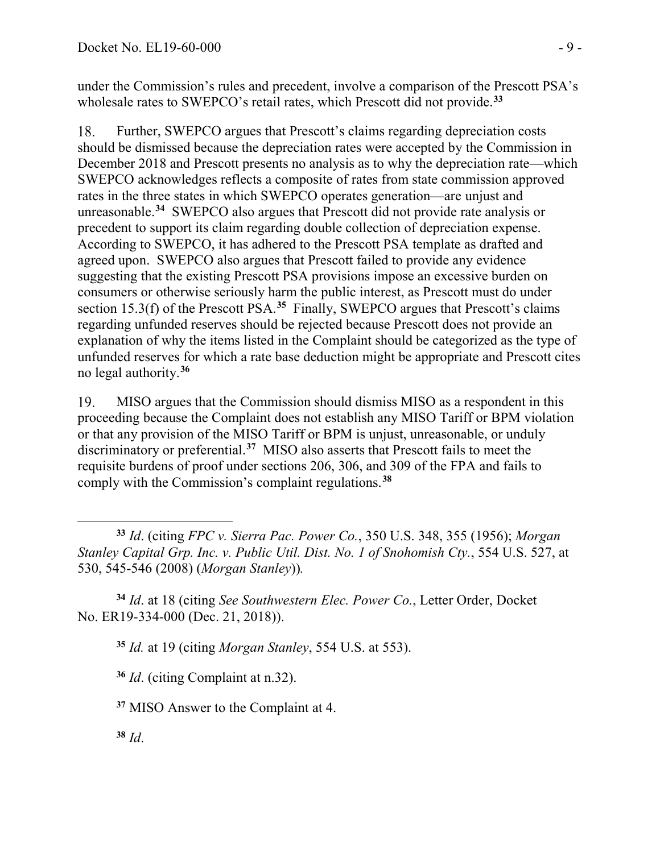under the Commission's rules and precedent, involve a comparison of the Prescott PSA's wholesale rates to SWEPCO's retail rates, which Prescott did not provide.**[33](#page-8-0)**

Further, SWEPCO argues that Prescott's claims regarding depreciation costs 18. should be dismissed because the depreciation rates were accepted by the Commission in December 2018 and Prescott presents no analysis as to why the depreciation rate—which SWEPCO acknowledges reflects a composite of rates from state commission approved rates in the three states in which SWEPCO operates generation—are unjust and unreasonable.**[34](#page-8-1)** SWEPCO also argues that Prescott did not provide rate analysis or precedent to support its claim regarding double collection of depreciation expense. According to SWEPCO, it has adhered to the Prescott PSA template as drafted and agreed upon. SWEPCO also argues that Prescott failed to provide any evidence suggesting that the existing Prescott PSA provisions impose an excessive burden on consumers or otherwise seriously harm the public interest, as Prescott must do under section 15.3(f) of the Prescott PSA.<sup>[35](#page-8-2)</sup> Finally, SWEPCO argues that Prescott's claims regarding unfunded reserves should be rejected because Prescott does not provide an explanation of why the items listed in the Complaint should be categorized as the type of unfunded reserves for which a rate base deduction might be appropriate and Prescott cites no legal authority. **[36](#page-8-3)**

MISO argues that the Commission should dismiss MISO as a respondent in this 19. proceeding because the Complaint does not establish any MISO Tariff or BPM violation or that any provision of the MISO Tariff or BPM is unjust, unreasonable, or unduly discriminatory or preferential.**[37](#page-8-4)** MISO also asserts that Prescott fails to meet the requisite burdens of proof under sections 206, 306, and 309 of the FPA and fails to comply with the Commission's complaint regulations.**[38](#page-8-5)**

<span id="page-8-3"></span><span id="page-8-2"></span><span id="page-8-1"></span>**<sup>34</sup>** *Id*. at 18 (citing *See Southwestern Elec. Power Co.*, Letter Order, Docket No. ER19-334-000 (Dec. 21, 2018)).

**<sup>35</sup>** *Id.* at 19 (citing *Morgan Stanley*, 554 U.S. at 553).

**<sup>36</sup>** *Id*. (citing Complaint at n.32).

<span id="page-8-4"></span>**<sup>37</sup>** MISO Answer to the Complaint at 4.

<span id="page-8-5"></span>**<sup>38</sup>** *Id*.

<span id="page-8-0"></span> $\overline{a}$ **<sup>33</sup>** *Id*. (citing *FPC v. Sierra Pac. Power Co.*, 350 U.S. 348, 355 (1956); *Morgan Stanley Capital Grp. Inc. v. Public Util. Dist. No. 1 of Snohomish Cty.*, 554 U.S. 527, at 530, 545-546 (2008) (*Morgan Stanley*))*.*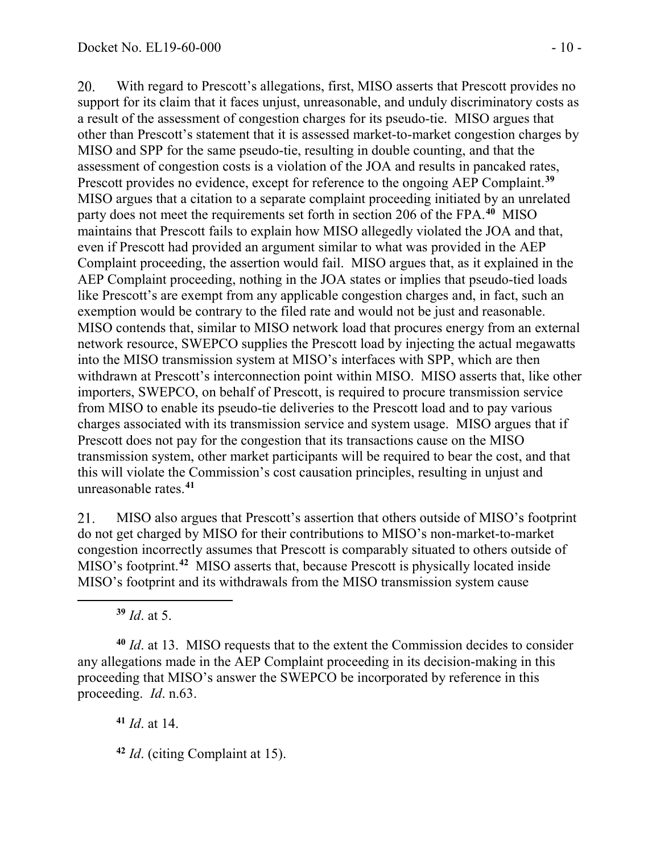20. With regard to Prescott's allegations, first, MISO asserts that Prescott provides no support for its claim that it faces unjust, unreasonable, and unduly discriminatory costs as a result of the assessment of congestion charges for its pseudo-tie. MISO argues that other than Prescott's statement that it is assessed market-to-market congestion charges by MISO and SPP for the same pseudo-tie, resulting in double counting, and that the assessment of congestion costs is a violation of the JOA and results in pancaked rates, Prescott provides no evidence, except for reference to the ongoing AEP Complaint.**[39](#page-9-0)** MISO argues that a citation to a separate complaint proceeding initiated by an unrelated party does not meet the requirements set forth in section 206 of the FPA. **[40](#page-9-1)** MISO maintains that Prescott fails to explain how MISO allegedly violated the JOA and that, even if Prescott had provided an argument similar to what was provided in the AEP Complaint proceeding, the assertion would fail. MISO argues that, as it explained in the AEP Complaint proceeding, nothing in the JOA states or implies that pseudo-tied loads like Prescott's are exempt from any applicable congestion charges and, in fact, such an exemption would be contrary to the filed rate and would not be just and reasonable. MISO contends that, similar to MISO network load that procures energy from an external network resource, SWEPCO supplies the Prescott load by injecting the actual megawatts into the MISO transmission system at MISO's interfaces with SPP, which are then withdrawn at Prescott's interconnection point within MISO. MISO asserts that, like other importers, SWEPCO, on behalf of Prescott, is required to procure transmission service from MISO to enable its pseudo-tie deliveries to the Prescott load and to pay various charges associated with its transmission service and system usage. MISO argues that if Prescott does not pay for the congestion that its transactions cause on the MISO transmission system, other market participants will be required to bear the cost, and that this will violate the Commission's cost causation principles, resulting in unjust and unreasonable rates. **[41](#page-9-2)**

MISO also argues that Prescott's assertion that others outside of MISO's footprint 21. do not get charged by MISO for their contributions to MISO's non-market-to-market congestion incorrectly assumes that Prescott is comparably situated to others outside of MISO's footprint. **[42](#page-9-3)** MISO asserts that, because Prescott is physically located inside MISO's footprint and its withdrawals from the MISO transmission system cause

**<sup>39</sup>** *Id*. at 5.

<span id="page-9-0"></span> $\overline{a}$ 

<span id="page-9-2"></span><span id="page-9-1"></span>**<sup>40</sup>** *Id*. at 13. MISO requests that to the extent the Commission decides to consider any allegations made in the AEP Complaint proceeding in its decision-making in this proceeding that MISO's answer the SWEPCO be incorporated by reference in this proceeding. *Id*. n.63.

**<sup>41</sup>** *Id*. at 14.

<span id="page-9-3"></span>**<sup>42</sup>** *Id*. (citing Complaint at 15).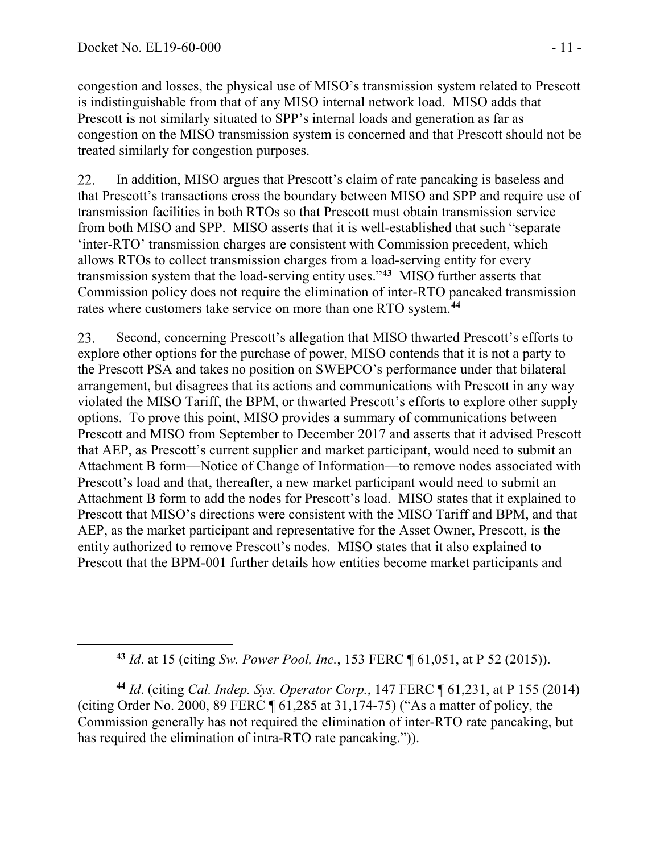<span id="page-10-0"></span> $\overline{a}$ 

congestion and losses, the physical use of MISO's transmission system related to Prescott is indistinguishable from that of any MISO internal network load. MISO adds that Prescott is not similarly situated to SPP's internal loads and generation as far as congestion on the MISO transmission system is concerned and that Prescott should not be treated similarly for congestion purposes.

22. In addition, MISO argues that Prescott's claim of rate pancaking is baseless and that Prescott's transactions cross the boundary between MISO and SPP and require use of transmission facilities in both RTOs so that Prescott must obtain transmission service from both MISO and SPP. MISO asserts that it is well-established that such "separate 'inter-RTO' transmission charges are consistent with Commission precedent, which allows RTOs to collect transmission charges from a load-serving entity for every transmission system that the load-serving entity uses."**[43](#page-10-0)** MISO further asserts that Commission policy does not require the elimination of inter-RTO pancaked transmission rates where customers take service on more than one RTO system.**[44](#page-10-1)**

23. Second, concerning Prescott's allegation that MISO thwarted Prescott's efforts to explore other options for the purchase of power, MISO contends that it is not a party to the Prescott PSA and takes no position on SWEPCO's performance under that bilateral arrangement, but disagrees that its actions and communications with Prescott in any way violated the MISO Tariff, the BPM, or thwarted Prescott's efforts to explore other supply options. To prove this point, MISO provides a summary of communications between Prescott and MISO from September to December 2017 and asserts that it advised Prescott that AEP, as Prescott's current supplier and market participant, would need to submit an Attachment B form—Notice of Change of Information—to remove nodes associated with Prescott's load and that, thereafter, a new market participant would need to submit an Attachment B form to add the nodes for Prescott's load. MISO states that it explained to Prescott that MISO's directions were consistent with the MISO Tariff and BPM, and that AEP, as the market participant and representative for the Asset Owner, Prescott, is the entity authorized to remove Prescott's nodes. MISO states that it also explained to Prescott that the BPM-001 further details how entities become market participants and

**<sup>43</sup>** *Id*. at 15 (citing *Sw. Power Pool, Inc.*, 153 FERC ¶ 61,051, at P 52 (2015)).

<span id="page-10-1"></span>**<sup>44</sup>** *Id*. (citing *Cal. Indep. Sys. Operator Corp.*, 147 FERC ¶ 61,231, at P 155 (2014) (citing Order No. 2000, 89 FERC  $\P$  61,285 at 31,174-75) ("As a matter of policy, the Commission generally has not required the elimination of inter-RTO rate pancaking, but has required the elimination of intra-RTO rate pancaking.").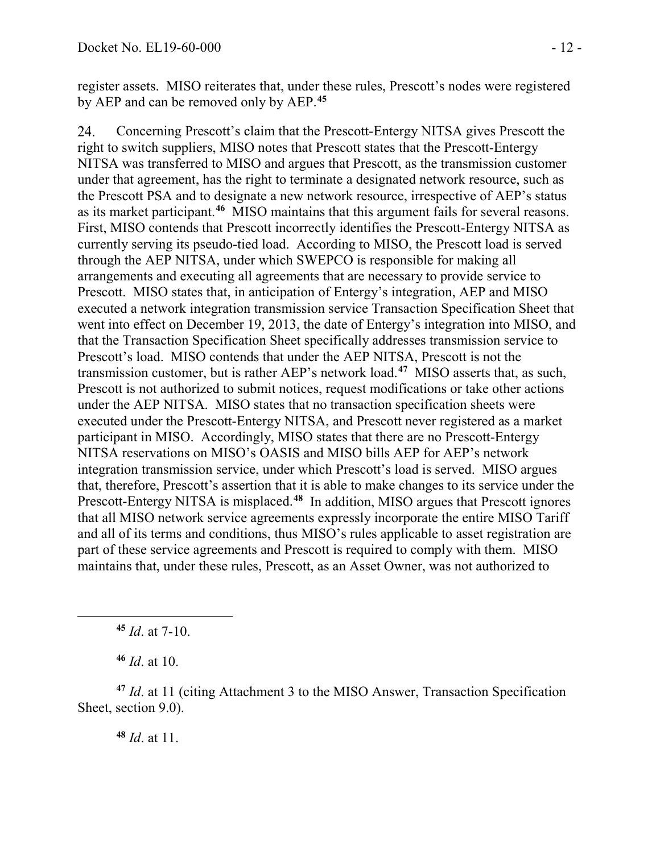register assets. MISO reiterates that, under these rules, Prescott's nodes were registered by AEP and can be removed only by AEP.**[45](#page-11-0)**

Concerning Prescott's claim that the Prescott-Entergy NITSA gives Prescott the 24. right to switch suppliers, MISO notes that Prescott states that the Prescott-Entergy NITSA was transferred to MISO and argues that Prescott, as the transmission customer under that agreement, has the right to terminate a designated network resource, such as the Prescott PSA and to designate a new network resource, irrespective of AEP's status as its market participant.**[46](#page-11-1)** MISO maintains that this argument fails for several reasons. First, MISO contends that Prescott incorrectly identifies the Prescott-Entergy NITSA as currently serving its pseudo-tied load. According to MISO, the Prescott load is served through the AEP NITSA, under which SWEPCO is responsible for making all arrangements and executing all agreements that are necessary to provide service to Prescott. MISO states that, in anticipation of Entergy's integration, AEP and MISO executed a network integration transmission service Transaction Specification Sheet that went into effect on December 19, 2013, the date of Entergy's integration into MISO, and that the Transaction Specification Sheet specifically addresses transmission service to Prescott's load. MISO contends that under the AEP NITSA, Prescott is not the transmission customer, but is rather AEP's network load.**[47](#page-11-2)** MISO asserts that, as such, Prescott is not authorized to submit notices, request modifications or take other actions under the AEP NITSA. MISO states that no transaction specification sheets were executed under the Prescott-Entergy NITSA, and Prescott never registered as a market participant in MISO. Accordingly, MISO states that there are no Prescott-Entergy NITSA reservations on MISO's OASIS and MISO bills AEP for AEP's network integration transmission service, under which Prescott's load is served. MISO argues that, therefore, Prescott's assertion that it is able to make changes to its service under the Prescott-Entergy NITSA is misplaced.**[48](#page-11-3)** In addition, MISO argues that Prescott ignores that all MISO network service agreements expressly incorporate the entire MISO Tariff and all of its terms and conditions, thus MISO's rules applicable to asset registration are part of these service agreements and Prescott is required to comply with them. MISO maintains that, under these rules, Prescott, as an Asset Owner, was not authorized to

**<sup>45</sup>** *Id*. at 7-10.

**<sup>46</sup>** *Id*. at 10.

<span id="page-11-0"></span> $\overline{a}$ 

<span id="page-11-3"></span><span id="page-11-2"></span><span id="page-11-1"></span>**<sup>47</sup>** *Id*. at 11 (citing Attachment 3 to the MISO Answer, Transaction Specification Sheet, section 9.0).

**<sup>48</sup>** *Id*. at 11.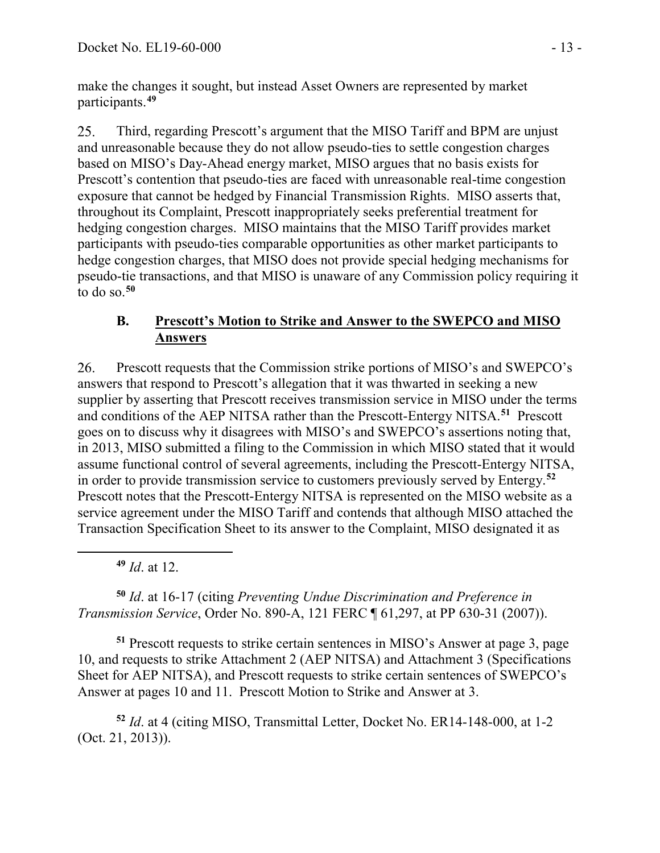make the changes it sought, but instead Asset Owners are represented by market participants. **[49](#page-12-0)**

25. Third, regarding Prescott's argument that the MISO Tariff and BPM are unjust and unreasonable because they do not allow pseudo-ties to settle congestion charges based on MISO's Day-Ahead energy market, MISO argues that no basis exists for Prescott's contention that pseudo-ties are faced with unreasonable real-time congestion exposure that cannot be hedged by Financial Transmission Rights. MISO asserts that, throughout its Complaint, Prescott inappropriately seeks preferential treatment for hedging congestion charges. MISO maintains that the MISO Tariff provides market participants with pseudo-ties comparable opportunities as other market participants to hedge congestion charges, that MISO does not provide special hedging mechanisms for pseudo-tie transactions, and that MISO is unaware of any Commission policy requiring it to do so.**[50](#page-12-1)**

## **B. Prescott's Motion to Strike and Answer to the SWEPCO and MISO Answers**

26. Prescott requests that the Commission strike portions of MISO's and SWEPCO's answers that respond to Prescott's allegation that it was thwarted in seeking a new supplier by asserting that Prescott receives transmission service in MISO under the terms and conditions of the AEP NITSA rather than the Prescott-Entergy NITSA.**[51](#page-12-2)** Prescott goes on to discuss why it disagrees with MISO's and SWEPCO's assertions noting that, in 2013, MISO submitted a filing to the Commission in which MISO stated that it would assume functional control of several agreements, including the Prescott-Entergy NITSA, in order to provide transmission service to customers previously served by Entergy.**[52](#page-12-3)** Prescott notes that the Prescott-Entergy NITSA is represented on the MISO website as a service agreement under the MISO Tariff and contends that although MISO attached the Transaction Specification Sheet to its answer to the Complaint, MISO designated it as

**<sup>49</sup>** *Id*. at 12.

<span id="page-12-0"></span> $\overline{a}$ 

<span id="page-12-1"></span>**<sup>50</sup>** *Id*. at 16-17 (citing *Preventing Undue Discrimination and Preference in Transmission Service*, Order No. 890-A, 121 FERC ¶ 61,297, at PP 630-31 (2007)).

<span id="page-12-2"></span>**<sup>51</sup>** Prescott requests to strike certain sentences in MISO's Answer at page 3, page 10, and requests to strike Attachment 2 (AEP NITSA) and Attachment 3 (Specifications Sheet for AEP NITSA), and Prescott requests to strike certain sentences of SWEPCO's Answer at pages 10 and 11. Prescott Motion to Strike and Answer at 3.

<span id="page-12-3"></span>**<sup>52</sup>** *Id*. at 4 (citing MISO, Transmittal Letter, Docket No. ER14-148-000, at 1-2 (Oct. 21, 2013)).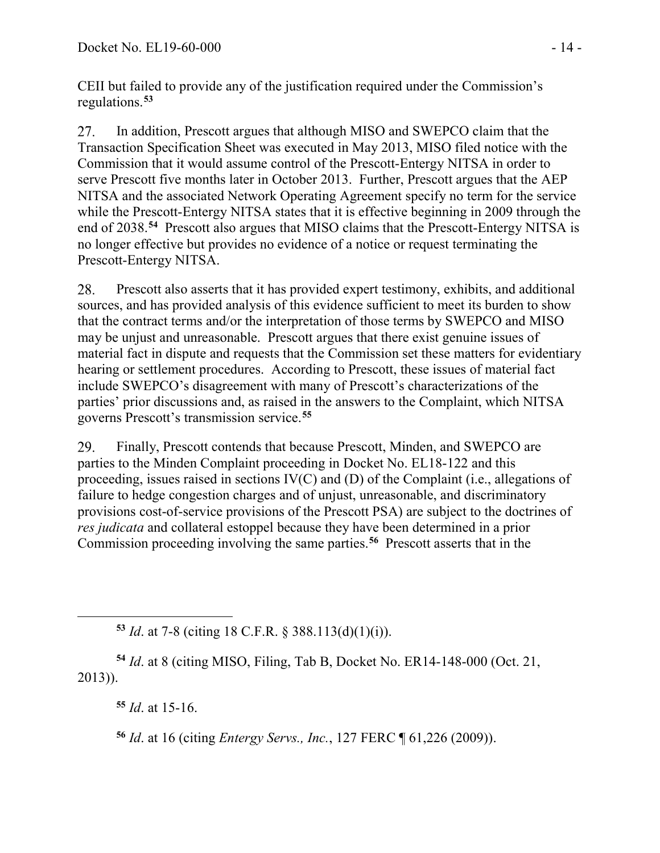CEII but failed to provide any of the justification required under the Commission's regulations.**[53](#page-13-0)**

27. In addition, Prescott argues that although MISO and SWEPCO claim that the Transaction Specification Sheet was executed in May 2013, MISO filed notice with the Commission that it would assume control of the Prescott-Entergy NITSA in order to serve Prescott five months later in October 2013. Further, Prescott argues that the AEP NITSA and the associated Network Operating Agreement specify no term for the service while the Prescott-Entergy NITSA states that it is effective beginning in 2009 through the end of 2038. **[54](#page-13-1)** Prescott also argues that MISO claims that the Prescott-Entergy NITSA is no longer effective but provides no evidence of a notice or request terminating the Prescott-Entergy NITSA.

28. Prescott also asserts that it has provided expert testimony, exhibits, and additional sources, and has provided analysis of this evidence sufficient to meet its burden to show that the contract terms and/or the interpretation of those terms by SWEPCO and MISO may be unjust and unreasonable. Prescott argues that there exist genuine issues of material fact in dispute and requests that the Commission set these matters for evidentiary hearing or settlement procedures. According to Prescott, these issues of material fact include SWEPCO's disagreement with many of Prescott's characterizations of the parties' prior discussions and, as raised in the answers to the Complaint, which NITSA governs Prescott's transmission service.**[55](#page-13-2)**

29. Finally, Prescott contends that because Prescott, Minden, and SWEPCO are parties to the Minden Complaint proceeding in Docket No. EL18-122 and this proceeding, issues raised in sections IV(C) and (D) of the Complaint (i.e., allegations of failure to hedge congestion charges and of unjust, unreasonable, and discriminatory provisions cost-of-service provisions of the Prescott PSA) are subject to the doctrines of *res judicata* and collateral estoppel because they have been determined in a prior Commission proceeding involving the same parties.**[56](#page-13-3)** Prescott asserts that in the

**<sup>53</sup>** *Id*. at 7-8 (citing 18 C.F.R. § 388.113(d)(1)(i)).

<span id="page-13-3"></span><span id="page-13-2"></span><span id="page-13-1"></span>**<sup>54</sup>** *Id*. at 8 (citing MISO, Filing, Tab B, Docket No. ER14-148-000 (Oct. 21, 2013)).

**<sup>55</sup>** *Id*. at 15-16.

<span id="page-13-0"></span> $\overline{a}$ 

**<sup>56</sup>** *Id*. at 16 (citing *Entergy Servs., Inc.*, 127 FERC ¶ 61,226 (2009)).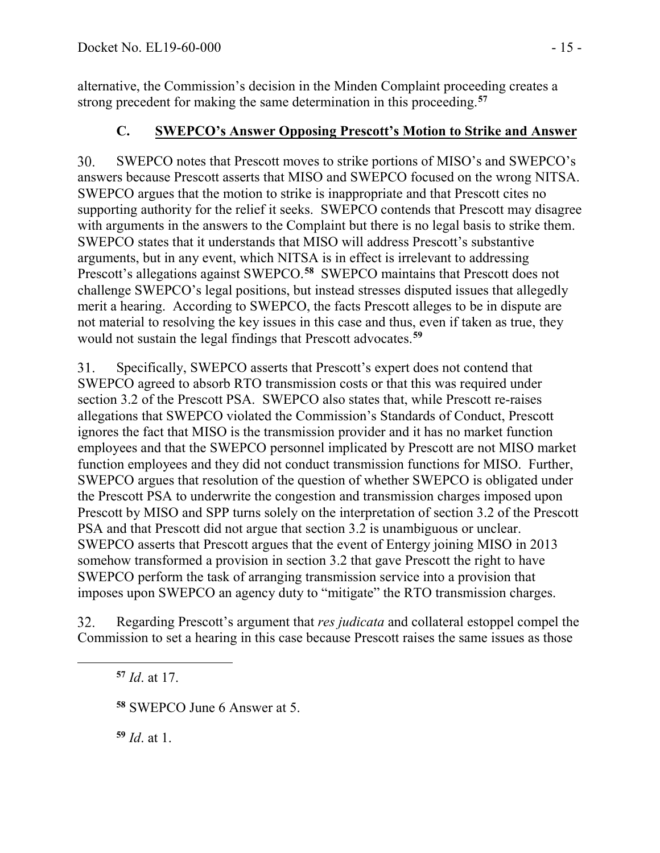alternative, the Commission's decision in the Minden Complaint proceeding creates a strong precedent for making the same determination in this proceeding.**[57](#page-14-0)**

# **C. SWEPCO's Answer Opposing Prescott's Motion to Strike and Answer**

 $30.$ SWEPCO notes that Prescott moves to strike portions of MISO's and SWEPCO's answers because Prescott asserts that MISO and SWEPCO focused on the wrong NITSA. SWEPCO argues that the motion to strike is inappropriate and that Prescott cites no supporting authority for the relief it seeks. SWEPCO contends that Prescott may disagree with arguments in the answers to the Complaint but there is no legal basis to strike them. SWEPCO states that it understands that MISO will address Prescott's substantive arguments, but in any event, which NITSA is in effect is irrelevant to addressing Prescott's allegations against SWEPCO.**[58](#page-14-1)** SWEPCO maintains that Prescott does not challenge SWEPCO's legal positions, but instead stresses disputed issues that allegedly merit a hearing. According to SWEPCO, the facts Prescott alleges to be in dispute are not material to resolving the key issues in this case and thus, even if taken as true, they would not sustain the legal findings that Prescott advocates.**[59](#page-14-2)**

31. Specifically, SWEPCO asserts that Prescott's expert does not contend that SWEPCO agreed to absorb RTO transmission costs or that this was required under section 3.2 of the Prescott PSA. SWEPCO also states that, while Prescott re-raises allegations that SWEPCO violated the Commission's Standards of Conduct, Prescott ignores the fact that MISO is the transmission provider and it has no market function employees and that the SWEPCO personnel implicated by Prescott are not MISO market function employees and they did not conduct transmission functions for MISO. Further, SWEPCO argues that resolution of the question of whether SWEPCO is obligated under the Prescott PSA to underwrite the congestion and transmission charges imposed upon Prescott by MISO and SPP turns solely on the interpretation of section 3.2 of the Prescott PSA and that Prescott did not argue that section 3.2 is unambiguous or unclear. SWEPCO asserts that Prescott argues that the event of Entergy joining MISO in 2013 somehow transformed a provision in section 3.2 that gave Prescott the right to have SWEPCO perform the task of arranging transmission service into a provision that imposes upon SWEPCO an agency duty to "mitigate" the RTO transmission charges.

32. Regarding Prescott's argument that *res judicata* and collateral estoppel compel the Commission to set a hearing in this case because Prescott raises the same issues as those

**<sup>57</sup>** *Id*. at 17.

<span id="page-14-2"></span><span id="page-14-1"></span><span id="page-14-0"></span> $\overline{a}$ 

**<sup>58</sup>** SWEPCO June 6 Answer at 5.

**<sup>59</sup>** *Id*. at 1.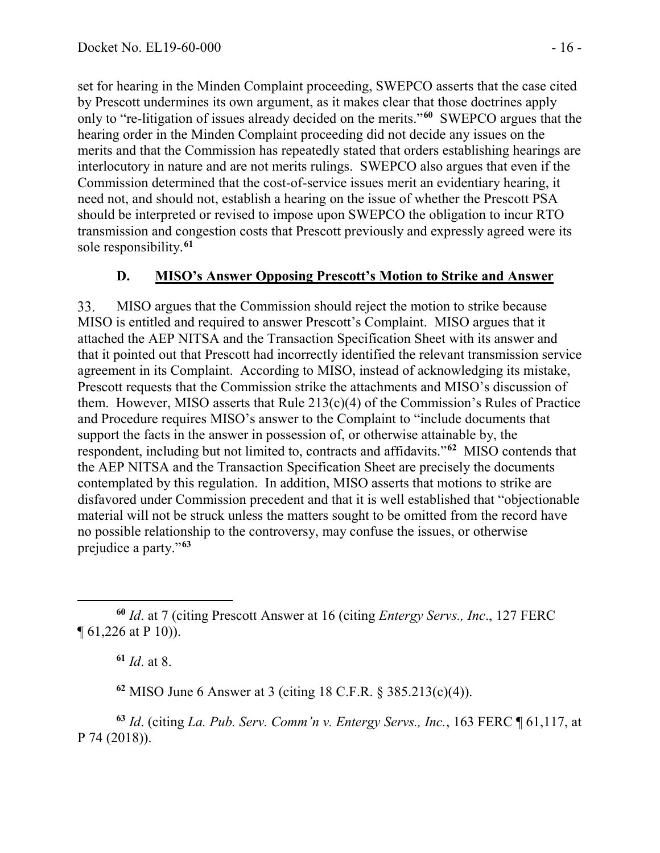set for hearing in the Minden Complaint proceeding, SWEPCO asserts that the case cited by Prescott undermines its own argument, as it makes clear that those doctrines apply only to "re-litigation of issues already decided on the merits."**[60](#page-15-0)** SWEPCO argues that the hearing order in the Minden Complaint proceeding did not decide any issues on the merits and that the Commission has repeatedly stated that orders establishing hearings are interlocutory in nature and are not merits rulings. SWEPCO also argues that even if the Commission determined that the cost-of-service issues merit an evidentiary hearing, it need not, and should not, establish a hearing on the issue of whether the Prescott PSA should be interpreted or revised to impose upon SWEPCO the obligation to incur RTO transmission and congestion costs that Prescott previously and expressly agreed were its sole responsibility. **[61](#page-15-1)**

#### **D. MISO's Answer Opposing Prescott's Motion to Strike and Answer**

33. MISO argues that the Commission should reject the motion to strike because MISO is entitled and required to answer Prescott's Complaint. MISO argues that it attached the AEP NITSA and the Transaction Specification Sheet with its answer and that it pointed out that Prescott had incorrectly identified the relevant transmission service agreement in its Complaint. According to MISO, instead of acknowledging its mistake, Prescott requests that the Commission strike the attachments and MISO's discussion of them. However, MISO asserts that Rule 213(c)(4) of the Commission's Rules of Practice and Procedure requires MISO's answer to the Complaint to "include documents that support the facts in the answer in possession of, or otherwise attainable by, the respondent, including but not limited to, contracts and affidavits."**[62](#page-15-2)** MISO contends that the AEP NITSA and the Transaction Specification Sheet are precisely the documents contemplated by this regulation. In addition, MISO asserts that motions to strike are disfavored under Commission precedent and that it is well established that "objectionable material will not be struck unless the matters sought to be omitted from the record have no possible relationship to the controversy, may confuse the issues, or otherwise prejudice a party."**[63](#page-15-3)**

**<sup>61</sup>** *Id*. at 8.

**<sup>62</sup>** MISO June 6 Answer at 3 (citing 18 C.F.R. § 385.213(c)(4)).

<span id="page-15-3"></span><span id="page-15-2"></span>**<sup>63</sup>** *Id*. (citing *La. Pub. Serv. Comm'n v. Entergy Servs., Inc.*, 163 FERC ¶ 61,117, at P 74 (2018)).

<span id="page-15-1"></span><span id="page-15-0"></span> $\overline{a}$ **<sup>60</sup>** *Id*. at 7 (citing Prescott Answer at 16 (citing *Entergy Servs., Inc*., 127 FERC ¶ 61,226 at P 10)).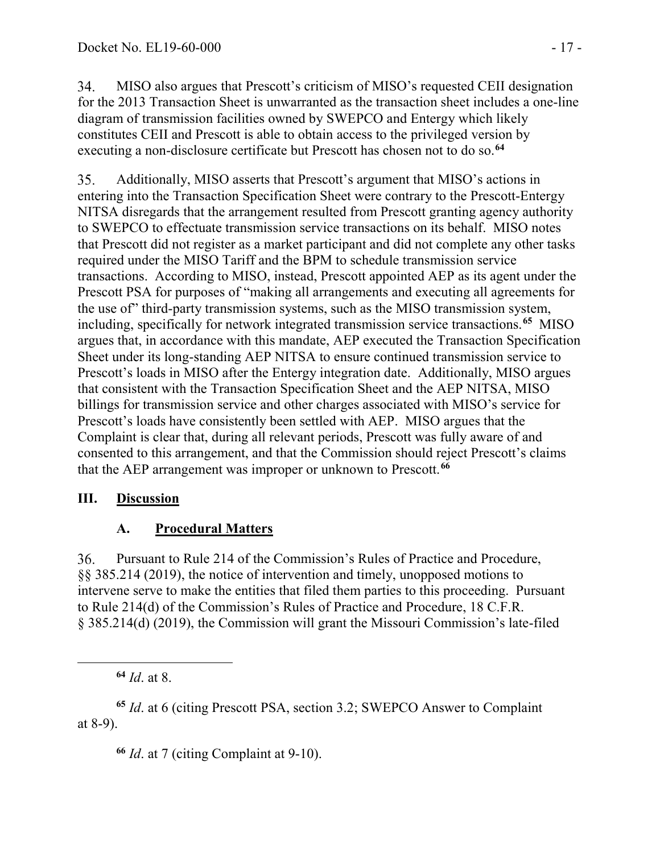34. MISO also argues that Prescott's criticism of MISO's requested CEII designation for the 2013 Transaction Sheet is unwarranted as the transaction sheet includes a one-line diagram of transmission facilities owned by SWEPCO and Entergy which likely constitutes CEII and Prescott is able to obtain access to the privileged version by executing a non-disclosure certificate but Prescott has chosen not to do so.**[64](#page-16-0)**

35. Additionally, MISO asserts that Prescott's argument that MISO's actions in entering into the Transaction Specification Sheet were contrary to the Prescott-Entergy NITSA disregards that the arrangement resulted from Prescott granting agency authority to SWEPCO to effectuate transmission service transactions on its behalf. MISO notes that Prescott did not register as a market participant and did not complete any other tasks required under the MISO Tariff and the BPM to schedule transmission service transactions. According to MISO, instead, Prescott appointed AEP as its agent under the Prescott PSA for purposes of "making all arrangements and executing all agreements for the use of" third-party transmission systems, such as the MISO transmission system, including, specifically for network integrated transmission service transactions.**[65](#page-16-1)** MISO argues that, in accordance with this mandate, AEP executed the Transaction Specification Sheet under its long-standing AEP NITSA to ensure continued transmission service to Prescott's loads in MISO after the Entergy integration date. Additionally, MISO argues that consistent with the Transaction Specification Sheet and the AEP NITSA, MISO billings for transmission service and other charges associated with MISO's service for Prescott's loads have consistently been settled with AEP. MISO argues that the Complaint is clear that, during all relevant periods, Prescott was fully aware of and consented to this arrangement, and that the Commission should reject Prescott's claims that the AEP arrangement was improper or unknown to Prescott.**[66](#page-16-2)**

# **III. Discussion**

# **A. Procedural Matters**

36. Pursuant to Rule 214 of the Commission's Rules of Practice and Procedure, §§ 385.214 (2019), the notice of intervention and timely, unopposed motions to intervene serve to make the entities that filed them parties to this proceeding. Pursuant to Rule 214(d) of the Commission's Rules of Practice and Procedure, 18 C.F.R. § 385.214(d) (2019), the Commission will grant the Missouri Commission's late-filed

**<sup>64</sup>** *Id*. at 8.

<span id="page-16-0"></span> $\overline{a}$ 

<span id="page-16-2"></span><span id="page-16-1"></span>**<sup>65</sup>** *Id*. at 6 (citing Prescott PSA, section 3.2; SWEPCO Answer to Complaint at 8-9).

**<sup>66</sup>** *Id*. at 7 (citing Complaint at 9-10).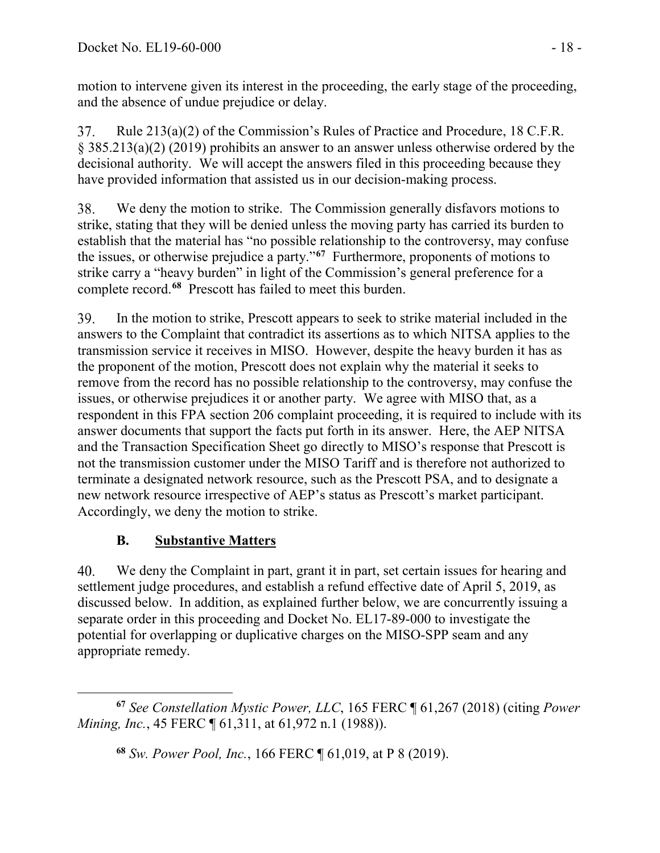motion to intervene given its interest in the proceeding, the early stage of the proceeding, and the absence of undue prejudice or delay.

Rule 213(a)(2) of the Commission's Rules of Practice and Procedure, 18 C.F.R. 37. § 385.213(a)(2) (2019) prohibits an answer to an answer unless otherwise ordered by the decisional authority. We will accept the answers filed in this proceeding because they have provided information that assisted us in our decision-making process.

38. We deny the motion to strike. The Commission generally disfavors motions to strike, stating that they will be denied unless the moving party has carried its burden to establish that the material has "no possible relationship to the controversy, may confuse the issues, or otherwise prejudice a party."**[67](#page-17-0)** Furthermore, proponents of motions to strike carry a "heavy burden" in light of the Commission's general preference for a complete record.**[68](#page-17-1)** Prescott has failed to meet this burden.

39. In the motion to strike, Prescott appears to seek to strike material included in the answers to the Complaint that contradict its assertions as to which NITSA applies to the transmission service it receives in MISO. However, despite the heavy burden it has as the proponent of the motion, Prescott does not explain why the material it seeks to remove from the record has no possible relationship to the controversy, may confuse the issues, or otherwise prejudices it or another party. We agree with MISO that, as a respondent in this FPA section 206 complaint proceeding, it is required to include with its answer documents that support the facts put forth in its answer. Here, the AEP NITSA and the Transaction Specification Sheet go directly to MISO's response that Prescott is not the transmission customer under the MISO Tariff and is therefore not authorized to terminate a designated network resource, such as the Prescott PSA, and to designate a new network resource irrespective of AEP's status as Prescott's market participant. Accordingly, we deny the motion to strike.

# **B. Substantive Matters**

40. We deny the Complaint in part, grant it in part, set certain issues for hearing and settlement judge procedures, and establish a refund effective date of April 5, 2019, as discussed below. In addition, as explained further below, we are concurrently issuing a separate order in this proceeding and Docket No. EL17-89-000 to investigate the potential for overlapping or duplicative charges on the MISO-SPP seam and any appropriate remedy.

<span id="page-17-1"></span><span id="page-17-0"></span> $\overline{a}$ **<sup>67</sup>** *See Constellation Mystic Power, LLC*, 165 FERC ¶ 61,267 (2018) (citing *Power Mining, Inc.*, 45 FERC  $\llbracket 61,311, \text{ at } 61,972 \text{ n.1}$  (1988)).

**<sup>68</sup>** *Sw. Power Pool, Inc.*, 166 FERC ¶ 61,019, at P 8 (2019).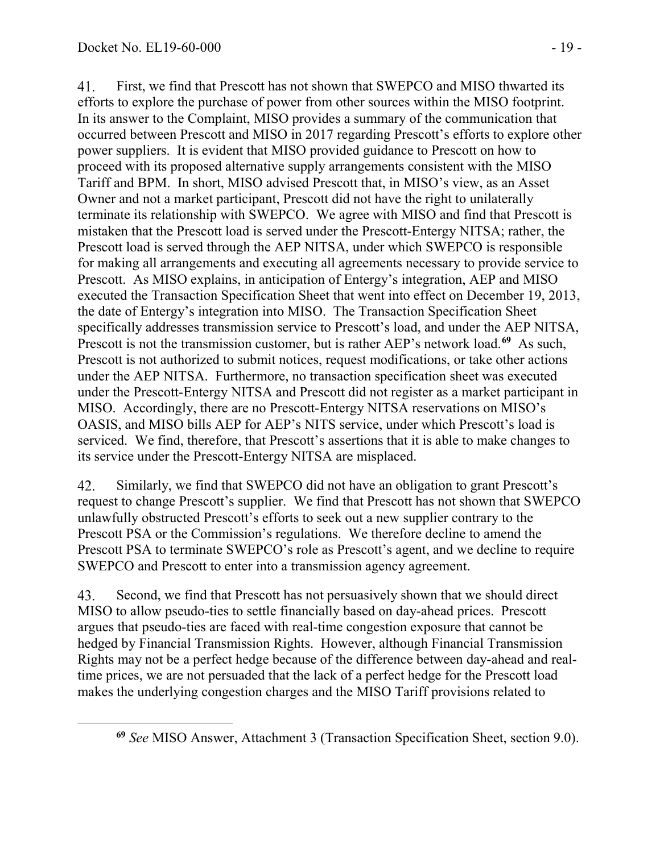<span id="page-18-0"></span> $\overline{a}$ 

41. First, we find that Prescott has not shown that SWEPCO and MISO thwarted its efforts to explore the purchase of power from other sources within the MISO footprint. In its answer to the Complaint, MISO provides a summary of the communication that occurred between Prescott and MISO in 2017 regarding Prescott's efforts to explore other power suppliers. It is evident that MISO provided guidance to Prescott on how to proceed with its proposed alternative supply arrangements consistent with the MISO Tariff and BPM. In short, MISO advised Prescott that, in MISO's view, as an Asset Owner and not a market participant, Prescott did not have the right to unilaterally terminate its relationship with SWEPCO. We agree with MISO and find that Prescott is mistaken that the Prescott load is served under the Prescott-Entergy NITSA; rather, the Prescott load is served through the AEP NITSA, under which SWEPCO is responsible for making all arrangements and executing all agreements necessary to provide service to Prescott. As MISO explains, in anticipation of Entergy's integration, AEP and MISO executed the Transaction Specification Sheet that went into effect on December 19, 2013, the date of Entergy's integration into MISO. The Transaction Specification Sheet specifically addresses transmission service to Prescott's load, and under the AEP NITSA, Prescott is not the transmission customer, but is rather AEP's network load.**[69](#page-18-0)** As such, Prescott is not authorized to submit notices, request modifications, or take other actions under the AEP NITSA. Furthermore, no transaction specification sheet was executed under the Prescott-Entergy NITSA and Prescott did not register as a market participant in MISO. Accordingly, there are no Prescott-Entergy NITSA reservations on MISO's OASIS, and MISO bills AEP for AEP's NITS service, under which Prescott's load is serviced. We find, therefore, that Prescott's assertions that it is able to make changes to its service under the Prescott-Entergy NITSA are misplaced.

Similarly, we find that SWEPCO did not have an obligation to grant Prescott's 42. request to change Prescott's supplier. We find that Prescott has not shown that SWEPCO unlawfully obstructed Prescott's efforts to seek out a new supplier contrary to the Prescott PSA or the Commission's regulations. We therefore decline to amend the Prescott PSA to terminate SWEPCO's role as Prescott's agent, and we decline to require SWEPCO and Prescott to enter into a transmission agency agreement.

43. Second, we find that Prescott has not persuasively shown that we should direct MISO to allow pseudo-ties to settle financially based on day-ahead prices. Prescott argues that pseudo-ties are faced with real-time congestion exposure that cannot be hedged by Financial Transmission Rights. However, although Financial Transmission Rights may not be a perfect hedge because of the difference between day-ahead and realtime prices, we are not persuaded that the lack of a perfect hedge for the Prescott load makes the underlying congestion charges and the MISO Tariff provisions related to

**<sup>69</sup>** *See* MISO Answer, Attachment 3 (Transaction Specification Sheet, section 9.0).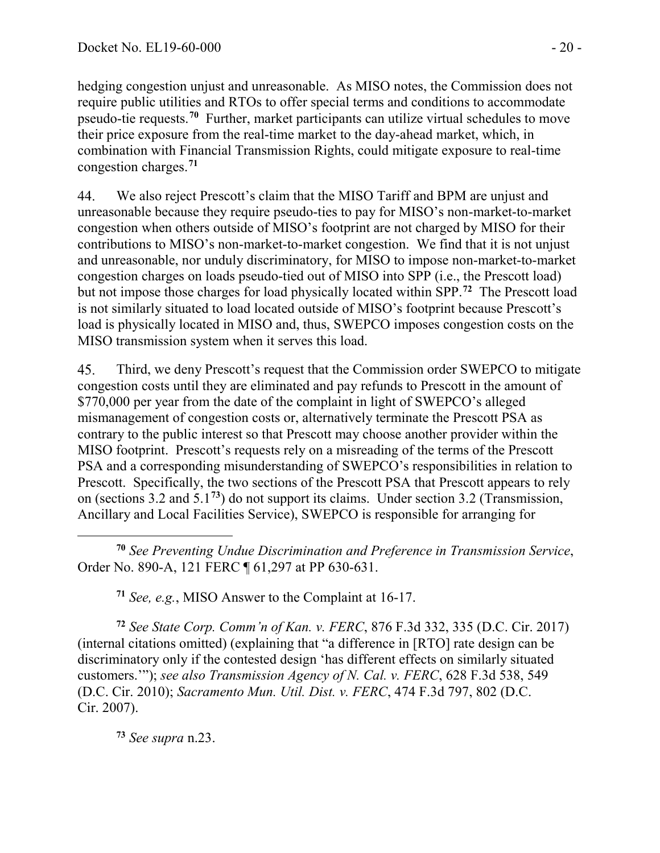hedging congestion unjust and unreasonable. As MISO notes, the Commission does not require public utilities and RTOs to offer special terms and conditions to accommodate pseudo-tie requests.**[70](#page-19-0)** Further, market participants can utilize virtual schedules to move their price exposure from the real-time market to the day-ahead market, which, in combination with Financial Transmission Rights, could mitigate exposure to real-time congestion charges.**[71](#page-19-1)**

44. We also reject Prescott's claim that the MISO Tariff and BPM are unjust and unreasonable because they require pseudo-ties to pay for MISO's non-market-to-market congestion when others outside of MISO's footprint are not charged by MISO for their contributions to MISO's non-market-to-market congestion. We find that it is not unjust and unreasonable, nor unduly discriminatory, for MISO to impose non-market-to-market congestion charges on loads pseudo-tied out of MISO into SPP (i.e., the Prescott load) but not impose those charges for load physically located within SPP.**[72](#page-19-2)** The Prescott load is not similarly situated to load located outside of MISO's footprint because Prescott's load is physically located in MISO and, thus, SWEPCO imposes congestion costs on the MISO transmission system when it serves this load.

45. Third, we deny Prescott's request that the Commission order SWEPCO to mitigate congestion costs until they are eliminated and pay refunds to Prescott in the amount of \$770,000 per year from the date of the complaint in light of SWEPCO's alleged mismanagement of congestion costs or, alternatively terminate the Prescott PSA as contrary to the public interest so that Prescott may choose another provider within the MISO footprint. Prescott's requests rely on a misreading of the terms of the Prescott PSA and a corresponding misunderstanding of SWEPCO's responsibilities in relation to Prescott. Specifically, the two sections of the Prescott PSA that Prescott appears to rely on (sections 3.2 and 5.1**[73](#page-19-3)**) do not support its claims. Under section 3.2 (Transmission, Ancillary and Local Facilities Service), SWEPCO is responsible for arranging for

<span id="page-19-0"></span> $\overline{a}$ **<sup>70</sup>** *See Preventing Undue Discrimination and Preference in Transmission Service*, Order No. 890-A, 121 FERC ¶ 61,297 at PP 630-631.

**<sup>71</sup>** *See, e.g.*, MISO Answer to the Complaint at 16-17.

<span id="page-19-2"></span><span id="page-19-1"></span>**<sup>72</sup>** *See State Corp. Comm'n of Kan. v. FERC*, 876 F.3d 332, 335 (D.C. Cir. 2017) (internal citations omitted) (explaining that "a difference in [RTO] rate design can be discriminatory only if the contested design 'has different effects on similarly situated customers.'"); *see also Transmission Agency of N. Cal. v. FERC*, 628 F.3d 538, 549 (D.C. Cir. 2010); *Sacramento Mun. Util. Dist. v. FERC*, 474 F.3d 797, 802 (D.C. Cir. 2007).

<span id="page-19-3"></span>**<sup>73</sup>** *See supra* n.23.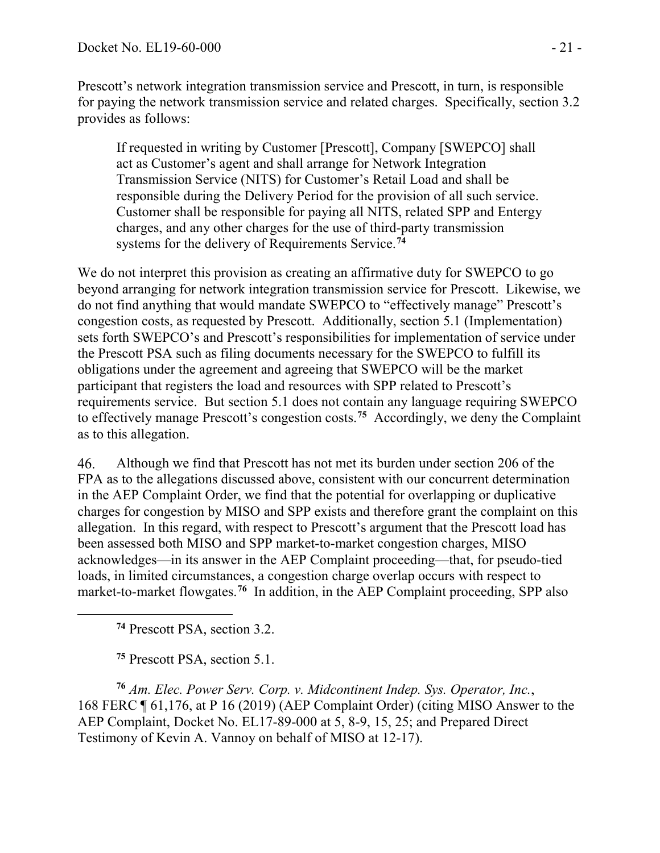Prescott's network integration transmission service and Prescott, in turn, is responsible for paying the network transmission service and related charges. Specifically, section 3.2 provides as follows:

If requested in writing by Customer [Prescott], Company [SWEPCO] shall act as Customer's agent and shall arrange for Network Integration Transmission Service (NITS) for Customer's Retail Load and shall be responsible during the Delivery Period for the provision of all such service. Customer shall be responsible for paying all NITS, related SPP and Entergy charges, and any other charges for the use of third-party transmission systems for the delivery of Requirements Service.**[74](#page-20-0)**

We do not interpret this provision as creating an affirmative duty for SWEPCO to go beyond arranging for network integration transmission service for Prescott. Likewise, we do not find anything that would mandate SWEPCO to "effectively manage" Prescott's congestion costs, as requested by Prescott. Additionally, section 5.1 (Implementation) sets forth SWEPCO's and Prescott's responsibilities for implementation of service under the Prescott PSA such as filing documents necessary for the SWEPCO to fulfill its obligations under the agreement and agreeing that SWEPCO will be the market participant that registers the load and resources with SPP related to Prescott's requirements service. But section 5.1 does not contain any language requiring SWEPCO to effectively manage Prescott's congestion costs.**[75](#page-20-1)** Accordingly, we deny the Complaint as to this allegation.

46. Although we find that Prescott has not met its burden under section 206 of the FPA as to the allegations discussed above, consistent with our concurrent determination in the AEP Complaint Order, we find that the potential for overlapping or duplicative charges for congestion by MISO and SPP exists and therefore grant the complaint on this allegation. In this regard, with respect to Prescott's argument that the Prescott load has been assessed both MISO and SPP market-to-market congestion charges, MISO acknowledges—in its answer in the AEP Complaint proceeding—that, for pseudo-tied loads, in limited circumstances, a congestion charge overlap occurs with respect to market-to-market flowgates.**[76](#page-20-2)** In addition, in the AEP Complaint proceeding, SPP also

**<sup>74</sup>** Prescott PSA, section 3.2.

<span id="page-20-0"></span> $\overline{a}$ 

**<sup>75</sup>** Prescott PSA, section 5.1.

<span id="page-20-2"></span><span id="page-20-1"></span>**<sup>76</sup>** *Am. Elec. Power Serv. Corp. v. Midcontinent Indep. Sys. Operator, Inc.*, 168 FERC ¶ 61,176, at P 16 (2019) (AEP Complaint Order) (citing MISO Answer to the AEP Complaint, Docket No. EL17-89-000 at 5, 8-9, 15, 25; and Prepared Direct Testimony of Kevin A. Vannoy on behalf of MISO at 12-17).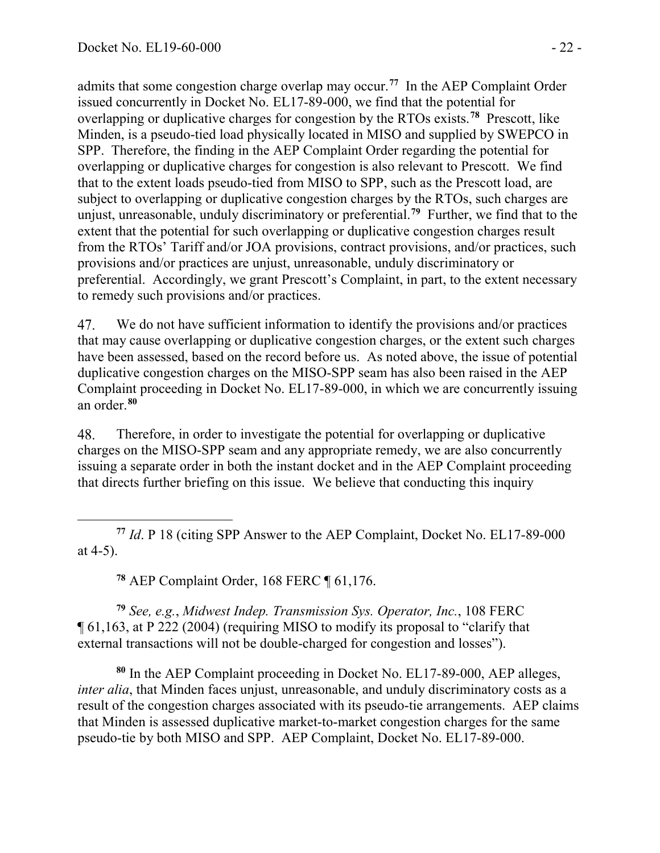admits that some congestion charge overlap may occur.**[77](#page-21-0)** In the AEP Complaint Order issued concurrently in Docket No. EL17-89-000, we find that the potential for overlapping or duplicative charges for congestion by the RTOs exists.**[78](#page-21-1)** Prescott, like Minden, is a pseudo-tied load physically located in MISO and supplied by SWEPCO in SPP. Therefore, the finding in the AEP Complaint Order regarding the potential for overlapping or duplicative charges for congestion is also relevant to Prescott. We find that to the extent loads pseudo-tied from MISO to SPP, such as the Prescott load, are subject to overlapping or duplicative congestion charges by the RTOs, such charges are unjust, unreasonable, unduly discriminatory or preferential.**[79](#page-21-2)** Further, we find that to the extent that the potential for such overlapping or duplicative congestion charges result from the RTOs' Tariff and/or JOA provisions, contract provisions, and/or practices, such provisions and/or practices are unjust, unreasonable, unduly discriminatory or preferential. Accordingly, we grant Prescott's Complaint, in part, to the extent necessary to remedy such provisions and/or practices.

47. We do not have sufficient information to identify the provisions and/or practices that may cause overlapping or duplicative congestion charges, or the extent such charges have been assessed, based on the record before us. As noted above, the issue of potential duplicative congestion charges on the MISO-SPP seam has also been raised in the AEP Complaint proceeding in Docket No. EL17-89-000, in which we are concurrently issuing an order. **[80](#page-21-3)**

48. Therefore, in order to investigate the potential for overlapping or duplicative charges on the MISO-SPP seam and any appropriate remedy, we are also concurrently issuing a separate order in both the instant docket and in the AEP Complaint proceeding that directs further briefing on this issue. We believe that conducting this inquiry

<span id="page-21-0"></span> **<sup>77</sup>** *Id*. P 18 (citing SPP Answer to the AEP Complaint, Docket No. EL17-89-000 at 4-5).

**<sup>78</sup>** AEP Complaint Order, 168 FERC ¶ 61,176.

<span id="page-21-2"></span><span id="page-21-1"></span>**<sup>79</sup>** *See, e.g.*, *Midwest Indep. Transmission Sys. Operator, Inc.*, 108 FERC ¶ 61,163, at P 222 (2004) (requiring MISO to modify its proposal to "clarify that external transactions will not be double-charged for congestion and losses").

<span id="page-21-3"></span>**<sup>80</sup>** In the AEP Complaint proceeding in Docket No. EL17-89-000, AEP alleges, *inter alia*, that Minden faces unjust, unreasonable, and unduly discriminatory costs as a result of the congestion charges associated with its pseudo-tie arrangements. AEP claims that Minden is assessed duplicative market-to-market congestion charges for the same pseudo-tie by both MISO and SPP. AEP Complaint, Docket No. EL17-89-000.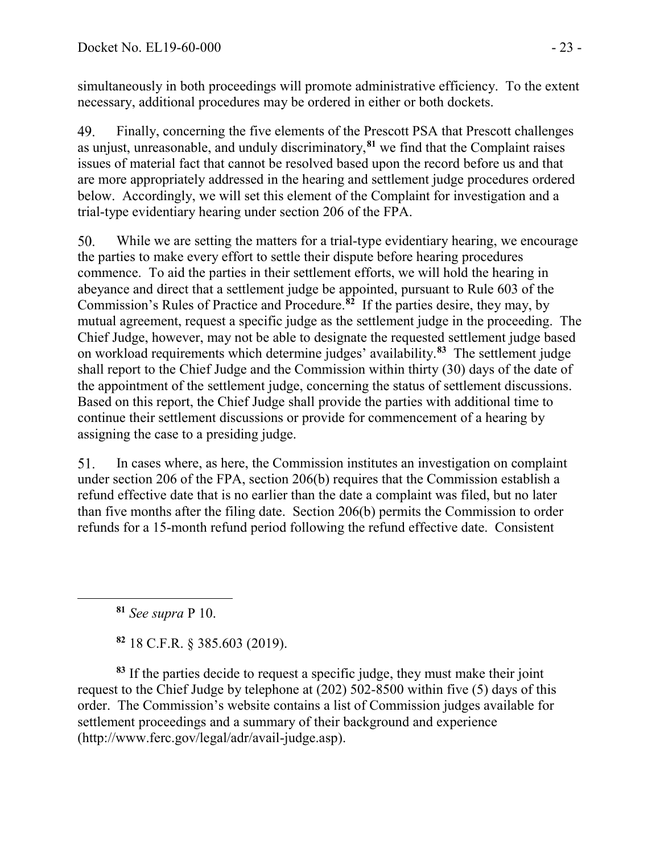simultaneously in both proceedings will promote administrative efficiency. To the extent necessary, additional procedures may be ordered in either or both dockets.

49. Finally, concerning the five elements of the Prescott PSA that Prescott challenges as unjust, unreasonable, and unduly discriminatory,**[81](#page-22-0)** we find that the Complaint raises issues of material fact that cannot be resolved based upon the record before us and that are more appropriately addressed in the hearing and settlement judge procedures ordered below. Accordingly, we will set this element of the Complaint for investigation and a trial-type evidentiary hearing under section 206 of the FPA.

50. While we are setting the matters for a trial-type evidentiary hearing, we encourage the parties to make every effort to settle their dispute before hearing procedures commence. To aid the parties in their settlement efforts, we will hold the hearing in abeyance and direct that a settlement judge be appointed, pursuant to Rule 603 of the Commission's Rules of Practice and Procedure.**[82](#page-22-1)** If the parties desire, they may, by mutual agreement, request a specific judge as the settlement judge in the proceeding. The Chief Judge, however, may not be able to designate the requested settlement judge based on workload requirements which determine judges' availability.**[83](#page-22-2)** The settlement judge shall report to the Chief Judge and the Commission within thirty (30) days of the date of the appointment of the settlement judge, concerning the status of settlement discussions. Based on this report, the Chief Judge shall provide the parties with additional time to continue their settlement discussions or provide for commencement of a hearing by assigning the case to a presiding judge.

51. In cases where, as here, the Commission institutes an investigation on complaint under section 206 of the FPA, section 206(b) requires that the Commission establish a refund effective date that is no earlier than the date a complaint was filed, but no later than five months after the filing date. Section 206(b) permits the Commission to order refunds for a 15-month refund period following the refund effective date. Consistent

**<sup>81</sup>** *See supra* P 10.

<span id="page-22-0"></span> $\overline{a}$ 

**<sup>82</sup>** 18 C.F.R. § 385.603 (2019).

<span id="page-22-2"></span><span id="page-22-1"></span>**<sup>83</sup>** If the parties decide to request a specific judge, they must make their joint request to the Chief Judge by telephone at (202) 502-8500 within five (5) days of this order. The Commission's website contains a list of Commission judges available for settlement proceedings and a summary of their background and experience (http://www.ferc.gov/legal/adr/avail-judge.asp).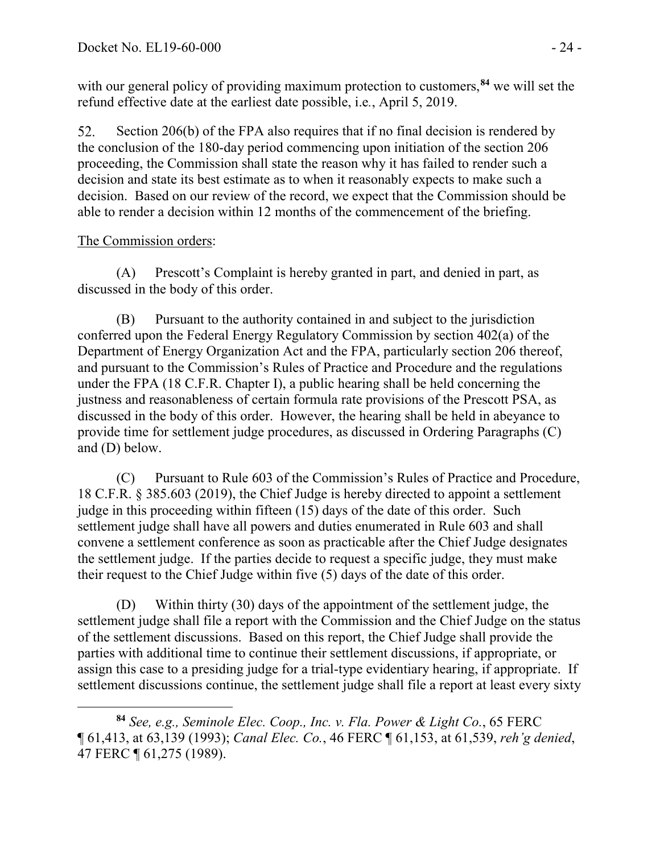with our general policy of providing maximum protection to customers,<sup>[84](#page-23-0)</sup> we will set the refund effective date at the earliest date possible, i.e*.*, April 5, 2019.

52. Section 206(b) of the FPA also requires that if no final decision is rendered by the conclusion of the 180-day period commencing upon initiation of the section 206 proceeding, the Commission shall state the reason why it has failed to render such a decision and state its best estimate as to when it reasonably expects to make such a decision. Based on our review of the record, we expect that the Commission should be able to render a decision within 12 months of the commencement of the briefing.

## The Commission orders:

(A) Prescott's Complaint is hereby granted in part, and denied in part, as discussed in the body of this order.

(B) Pursuant to the authority contained in and subject to the jurisdiction conferred upon the Federal Energy Regulatory Commission by section 402(a) of the Department of Energy Organization Act and the FPA, particularly section 206 thereof, and pursuant to the Commission's Rules of Practice and Procedure and the regulations under the FPA (18 C.F.R. Chapter I), a public hearing shall be held concerning the justness and reasonableness of certain formula rate provisions of the Prescott PSA, as discussed in the body of this order. However, the hearing shall be held in abeyance to provide time for settlement judge procedures, as discussed in Ordering Paragraphs (C) and (D) below.

(C) Pursuant to Rule 603 of the Commission's Rules of Practice and Procedure, 18 C.F.R. § 385.603 (2019), the Chief Judge is hereby directed to appoint a settlement judge in this proceeding within fifteen (15) days of the date of this order. Such settlement judge shall have all powers and duties enumerated in Rule 603 and shall convene a settlement conference as soon as practicable after the Chief Judge designates the settlement judge. If the parties decide to request a specific judge, they must make their request to the Chief Judge within five (5) days of the date of this order.

(D) Within thirty (30) days of the appointment of the settlement judge, the settlement judge shall file a report with the Commission and the Chief Judge on the status of the settlement discussions. Based on this report, the Chief Judge shall provide the parties with additional time to continue their settlement discussions, if appropriate, or assign this case to a presiding judge for a trial-type evidentiary hearing, if appropriate. If settlement discussions continue, the settlement judge shall file a report at least every sixty

<span id="page-23-0"></span> $\overline{a}$ **<sup>84</sup>** *See, e.g., Seminole Elec. Coop., Inc. v. Fla. Power & Light Co.*, 65 FERC ¶ 61,413, at 63,139 (1993); *Canal Elec. Co.*, 46 FERC ¶ 61,153, at 61,539, *reh'g denied*, 47 FERC ¶ 61,275 (1989).